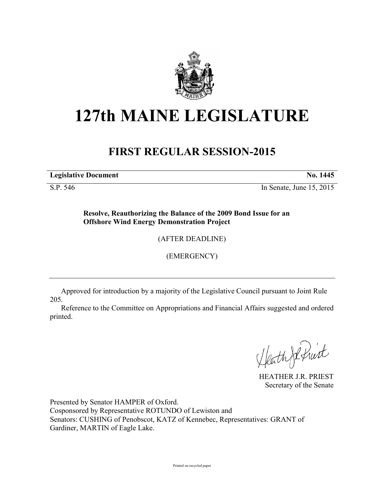

## **127th MAINE LEGISLATURE**

## **FIRST REGULAR SESSION-2015**

**Legislative Document No. 1445** 

S.P. 546 In Senate, June 15, 2015

**Resolve, Reauthorizing the Balance of the 2009 Bond Issue for an Offshore Wind Energy Demonstration Project**

(AFTER DEADLINE)

(EMERGENCY)

Approved for introduction by a majority of the Legislative Council pursuant to Joint Rule 205.

Reference to the Committee on Appropriations and Financial Affairs suggested and ordered printed.

HeathJefruit

HEATHER J.R. PRIEST Secretary of the Senate

Presented by Senator HAMPER of Oxford. Cosponsored by Representative ROTUNDO of Lewiston and Senators: CUSHING of Penobscot, KATZ of Kennebec, Representatives: GRANT of Gardiner, MARTIN of Eagle Lake.